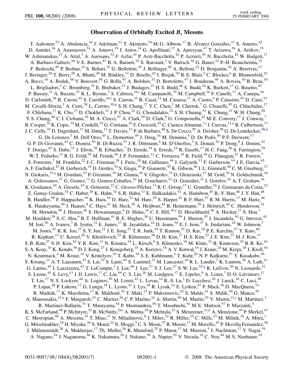## **Observation of Orbitally Excited** *Bs* **Mesons**

<span id="page-0-7"></span><span id="page-0-6"></span><span id="page-0-5"></span><span id="page-0-4"></span><span id="page-0-3"></span><span id="page-0-2"></span><span id="page-0-1"></span><span id="page-0-0"></span>T. Aaltonen,<sup>23</sup> A. Abulencia,<sup>24</sup> J. Adelman,<sup>13</sup> T. Akimoto,<sup>54</sup> M. G. Albrow,<sup>17</sup> B. Álvarez González,<sup>11</sup> S. Amerio,<sup>42</sup> D. Amidei,<sup>34</sup> A. Anastassov,<sup>51</sup> A. Annovi,<sup>19</sup> J. Antos,<sup>14</sup> G. Apollinari,<sup>17</sup> A. Apresyan,<sup>47</sup> T. Arisawa,<sup>56</sup> A. Artikov,<sup>15</sup> W. Ashmanskas,<sup>17</sup> A. Attal,<sup>3</sup> A. Aurisano,<sup>52</sup> F. Azfar,<sup>41</sup> P. Azzi-Bacchetta,<sup>42</sup> P. Azzurri,<sup>45</sup> N. Bacchetta,<sup>42</sup> W. Badgett,<sup>17</sup> A. Barbaro-Galtieri,<sup>28</sup> V. E. Barnes,<sup>47</sup> B. A. Barnett,<sup>25</sup> S. Baroiant,<sup>7</sup> V. Bartsch,<sup>30</sup> G. Bauer,<sup>32</sup> P.-H. Beauchemin,<sup>33</sup> F. Bedeschi,<sup>45</sup> P. Bednar,<sup>14</sup> S. Behari,<sup>25</sup> G. Bellettini,<sup>45</sup> J. Bellinger,<sup>58</sup> A. Belloni,<sup>22</sup> D. Benjamin,<sup>16</sup> A. Beretvas,<sup>17</sup> J. Beringer,<sup>28</sup> T. Berry,<sup>29</sup> A. Bhatti,<sup>49</sup> M. Binkley,<sup>17</sup> D. Bisello,<sup>42</sup> I. Bizjak,<sup>30</sup> R. E. Blair,<sup>2</sup> C. Blocker,<sup>6</sup> B. Blumenfeld,<sup>25</sup> A. Bocci,<sup>16</sup> A. Bodek,<sup>48</sup> V. Boisvert,<sup>48</sup> G. Bolla,<sup>47</sup> A. Bolshov,<sup>32</sup> D. Bortoletto,<sup>47</sup> J. Boudreau,<sup>46</sup> A. Boveia,<sup>10</sup> B. Brau,<sup>10</sup> L. Brigliadori,<sup>5</sup> C. Bromberg,<sup>35</sup> E. Brubaker,<sup>13</sup> J. Budagov,<sup>15</sup> H. S. Budd,<sup>48</sup> S. Budd,<sup>24</sup> K. Burkett,<sup>17</sup> G. Busetto,<sup>42</sup> P. Bussey,<sup>21</sup> A. Buzatu,<sup>33</sup> K. L. Byrum,<sup>2</sup> S. Cabrera, <sup>16[,r](#page-6-0)</sup> M. Campanelli,<sup>35</sup> M. Campbell,<sup>34</sup> F. Canelli,<sup>17</sup> A. Canepa,<sup>44</sup> D. Carlsmith,<sup>58</sup> R. Carosi,<sup>45</sup> S. Carrillo,<sup>18,1</sup> S. Carron,<sup>33</sup> B. Casal,<sup>11</sup> M. Casarsa,<sup>17</sup> A. Castro,<sup>5</sup> P. Catastini,<sup>45</sup> D. Cauz,<sup>53</sup> M. Cavalli-Sforza,<sup>3</sup> A. Cerri,<sup>28</sup> L. Cerrito,<sup>30[,p](#page-6-1)</sup> S. H. Chang,<sup>27</sup> Y. C. Chen,<sup>1</sup> M. Chertok,<sup>7</sup> G. Chiarelli,<sup>45</sup> G. Chlachidze,<sup>17</sup> F. Chlebana,<sup>17</sup> K. Cho,<sup>27</sup> D. Chokheli,<sup>15</sup> J. P. Chou,<sup>22</sup> G. Choudalakis,<sup>32</sup> S. H. Chuang,<sup>51</sup> K. Chung,<sup>12</sup> W. H. Chung,<sup>58</sup> Y. S. Chung,<sup>48</sup> C. I. Ciobanu,<sup>24</sup> M. A. Ciocci,<sup>45</sup> A. Clark,<sup>20</sup> D. Clark,<sup>6</sup> G. Compostella,<sup>42</sup> M. E. Convery,<sup>17</sup> J. Conway,<sup>7</sup> B. Coope[r](#page-6-0),<sup>30</sup> K. Copic,<sup>34</sup> M. Cordelli,<sup>19</sup> G. Cortiana,<sup>42</sup> F. Crescioli,<sup>45</sup> C. Cuenca Almenar,<sup>7,r</sup> J. Cuevas,<sup>11[,o](#page-6-2)</sup> R. Culbertson,<sup>17</sup> J. C. Cully,<sup>34</sup> D. Dagenhart,<sup>17</sup> M. Datta,<sup>17</sup> T. Davies,<sup>21</sup> P. [d](#page-5-1)e Barbaro,<sup>48</sup> S. De Cecco,<sup>50</sup> A. Deisher,<sup>28</sup> G. De Lentdecker,<sup>48,d</sup> G. De Lorenzo,<sup>3</sup> M. Dell'Orso,<sup>45</sup> L. Demortier,<sup>49</sup> J. Deng,<sup>16</sup> M. Deninno,<sup>5</sup> D. De Pedis,<sup>50</sup> P. F. Derwent,<sup>17</sup> G. P. Di Giovanni,<sup>43</sup> C. Dionisi,<sup>50</sup> B. Di Ruzza,<sup>53</sup> J. R. Dittmann,<sup>4</sup> M. D'Onofrio,<sup>3</sup> S. Donati,<sup>45</sup> P. Dong,<sup>8</sup> J. Donini,<sup>42</sup> T. Dorigo,<sup>42</sup> S. Dube,<sup>51</sup> J. Efron,<sup>38</sup> R. Erbacher,<sup>7</sup> D. Errede,<sup>24</sup> S. Errede,<sup>24</sup> R. Eusebi,<sup>17</sup> H. C. Fang,<sup>28</sup> S. Farrington,<sup>29</sup> W. T. Fedorko,<sup>13</sup> R. G. Feild,<sup>59</sup> M. Feindt,<sup>26</sup> J. P. Fernandez,<sup>31</sup> C. Ferrazza,<sup>45</sup> R. Field,<sup>18</sup> G. Flanagan,<sup>47</sup> R. Forrest,<sup>7</sup> S. Forrester,<sup>7</sup> M. Franklin,<sup>22</sup> J. C. Freeman,<sup>28</sup> I. Furic,<sup>18</sup> M. Gallinaro,<sup>49</sup> J. Galyardt,<sup>12</sup> F. Garberson,<sup>10</sup> J. E. Garcia,<sup>45</sup> A. F. Garfinkel,<sup>47</sup> H. Gerberich,<sup>24</sup> D. Gerdes,<sup>34</sup> S. Giagu,<sup>50</sup> P. Giannetti,<sup>45</sup> K. Gibson,<sup>46</sup> J. L. Gimmell,<sup>48</sup> C. M. Ginsburg,<sup>17</sup> N. Giok[a](#page-5-2)ris,<sup>15,a</sup> M. Giordani,<sup>53</sup> P. Giromini,<sup>19</sup> M. Giunta,<sup>45</sup> V. Glagolev,<sup>15</sup> D. Glenzinski,<sup>17</sup> M. Gold,<sup>36</sup> N. Goldschmidt,<sup>18</sup> A. Golossanov,<sup>17</sup> G. Gomez,<sup>11</sup> G. Gomez-Ceballos,<sup>32</sup> M. Goncharov,<sup>52</sup> O. González,<sup>31</sup> I. Gorelov,<sup>36</sup> A. T. Goshaw,<sup>16</sup> K. Goulianos,  $^{49}$  A. Gresele,  $^{42}$  S. Grinstein,  $^{22}$  C. Grosso-Pilcher,  $^{13}$  R. C. Group,  $^{17}$  U. Grundler,  $^{24}$  J. Guimaraes da Costa,  $^{22}$ Z. Gunay-Unalan,<sup>35</sup> C. Haber,<sup>28</sup> K. Hahn,<sup>32</sup> S. R. Hahn,<sup>17</sup> E. Halkiadakis,<sup>51</sup> A. Hamilton,<sup>20</sup> B.-Y. Han,<sup>48</sup> J. Y. Han,<sup>48</sup> R. Handler,<sup>58</sup> F. Happacher,<sup>19</sup> K. Hara,<sup>54</sup> D. Hare,<sup>51</sup> M. Hare,<sup>55</sup> S. Harper,<sup>41</sup> R. F. Harr,<sup>57</sup> R. M. Harris,<sup>17</sup> M. Hartz,<sup>46</sup> K. Hatakeyama,<sup>49</sup> J. Hauser,<sup>8</sup> C. Hays,<sup>41</sup> M. Heck,<sup>26</sup> A. Heijboer,<sup>44</sup> B. Heinemann,<sup>28</sup> J. Heinrich,<sup>44</sup> C. Henderson,<sup>32</sup> M. Herndon,<sup>58</sup> J. Heuser,<sup>26</sup> S. Hewamanage,<sup>4</sup> D. Hidas,<sup>16</sup> C. S. Hill,<sup>10,[c](#page-5-3)</sup> D. Hirschbuehl,<sup>26</sup> A. Hocker,<sup>17</sup> S. Hou,<sup>1</sup> M. Houlden,<sup>29</sup> S.-C. Hsu,<sup>9</sup> B. T. Huffman,<sup>41</sup> R. E. Hughes,<sup>38</sup> U. Husemann,<sup>59</sup> J. Huston,<sup>35</sup> J. Incandela,<sup>10</sup> G. Introzzi,<sup>45</sup> M. Iori,<sup>50</sup> A. Ivanov,<sup>7</sup> B. Iyutin,<sup>32</sup> E. James,<sup>17</sup> B. Jayatilaka,<sup>16</sup> D. Jeans,<sup>50</sup> E. J. Jeon,<sup>27</sup> S. Jindariani,<sup>18</sup> W. Johnson,<sup>7</sup> M. Jones,<sup>47</sup> K. K. Joo,<sup>27</sup> S. Y. Jun,<sup>12</sup> J. E. Jung,<sup>27</sup> T. R. Junk,<sup>24</sup> T. Kamon,<sup>52</sup> D. Kar,<sup>18</sup> P. E. Karchin,<sup>57</sup> Y. Kato,<sup>40</sup> R. Kephart,<sup>17</sup> U. Kerzel,<sup>26</sup> V. Khotilovich,<sup>52</sup> B. Kilminster,<sup>38</sup> D. H. Kim,<sup>27</sup> H. S. Kim,<sup>27</sup> J. E. Kim,<sup>27</sup> M. J. Kim,<sup>17</sup> S. B. Kim,<sup>27</sup> S. H. Kim,<sup>54</sup> Y. K. Kim,<sup>13</sup> N. Kimura,<sup>54</sup> L. Kirsch,<sup>6</sup> S. Klimenko,<sup>18</sup> M. Klute,<sup>32</sup> B. Knuteson,<sup>32</sup> B. R. Ko,<sup>16</sup> S. A. Koay, <sup>10</sup> K. Kondo, <sup>56</sup> D. J. Kong, <sup>27</sup> J. Konigsberg, <sup>18</sup> A. Korytov, <sup>18</sup> A. V. Kotwal, <sup>16</sup> J. Kraus, <sup>24</sup> M. Kreps, <sup>26</sup> J. Kroll, <sup>44</sup> N. Krumnack,<sup>4</sup> M. Kruse,<sup>16</sup> V. Krutelyov,<sup>10</sup> T. Kubo,<sup>54</sup> S. E. Kuhlmann,<sup>2</sup> T. Kuhr,<sup>26</sup> N. P. Kulkarni,<sup>57</sup> Y. Kusakabe,<sup>56</sup> S. Kwang,<sup>13</sup> A. T. Laasanen,<sup>47</sup> S. Lai,<sup>33</sup> S. Lami,<sup>45</sup> S. Lammel,<sup>17</sup> M. Lancaster,<sup>30</sup> R. L. Lander,<sup>7</sup> K. Lannon,<sup>38</sup> A. Lath,<sup>51</sup> G. Latino,<sup>45</sup> I. Lazzizzera,<sup>42</sup> T. LeCompte,<sup>2</sup> J. Lee,<sup>48</sup> J. Lee,<sup>27</sup> Y. J. Lee,<sup>27</sup> S. W. Lee,<sup>52,[q](#page-6-3)</sup> R. Lefèvre,<sup>20</sup> N. Leonardo,<sup>32</sup> S. Leone, <sup>45</sup> S. Levy, <sup>13</sup> J. D. Lewis, <sup>17</sup> C. Lin, <sup>59</sup> C. S. Lin, <sup>28</sup> M. Lindgren, <sup>17</sup> E. Lipeles, <sup>9</sup> A. Lister, <sup>7</sup> D. O. Litvintsev, <sup>17</sup> T. Liu,<sup>17</sup> N. S. Lockyer,<sup>44</sup> A. Loginov,<sup>59</sup> M. Loreti,<sup>42</sup> L. Lovas,<sup>14</sup> R.-S. Lu,<sup>1</sup> D. Lucchesi,<sup>42</sup> J. Lueck,<sup>26</sup> C. Luci,<sup>50</sup> P. Lujan,<sup>28</sup> P. Lukens,<sup>17</sup> G. Lungu,<sup>18</sup> L. Lyons,<sup>41</sup> J. Lys,<sup>28</sup> R. Lysak,<sup>14</sup> E. Lytken,<sup>47</sup> P. Mack,<sup>26</sup> D. MacQueen,<sup>33</sup> R. Madrak, <sup>17</sup> K. Maeshima, <sup>17</sup> K. Makhoul, <sup>32</sup> T. Maki, <sup>23</sup> P. Maksimovic, <sup>25</sup> S. Malde, <sup>41</sup> S. Malik, <sup>30</sup> G. Manca, <sup>29</sup> A. Manousakis,<sup>15[,a](#page-5-2)</sup> F. Margaroli,<sup>47</sup> C. Marino,<sup>26</sup> C. P. Marino,<sup>24</sup> A. Martin,<sup>59</sup> M. Martin,<sup>25</sup> V. Martin,<sup>21[,j](#page-5-4)</sup> M. Martínez,<sup>3</sup> R. Martínez-Ballarín,<sup>31</sup> T. Maruyama,<sup>54</sup> P. Mastrandrea,<sup>50</sup> T. Masubuchi,<sup>54</sup> M. E. Mattson,<sup>57</sup> P. Mazzanti,<sup>5</sup> K. S. McFarland, <sup>48</sup> P. McIntyre, <sup>52</sup> R. McNulty, <sup>29[,i](#page-5-5)</sup> A. Mehta, <sup>29</sup> P. Mehtala, <sup>23</sup> S. Menzemer, <sup>11,[k](#page-5-6)</sup> A. Menzione, <sup>45</sup> P. Merkel, <sup>47</sup> C. Mesropian,<sup>49</sup> A. Messina,<sup>35</sup> T. Miao,<sup>17</sup> N. Miladinovic,<sup>6</sup> J. Miles,<sup>32</sup> R. Miller,<sup>35</sup> C. Mills,<sup>22</sup> M. Milnik,<sup>26</sup> A. Mitra,<sup>1</sup> G. Mitselmakher,  $^{18}$  H. Miyake,  $^{54}$  S. Moed,  $^{22}$  N. Moggi,  $^5$  C. S. Moon,  $^{27}$  R. Moore,  $^{17}$  M. Morello,  $^{45}$  P. Movilla Fernandez,  $^{28}$ J. Mülmenstädt,<sup>28</sup> A. Mukherjee,<sup>17</sup> Th. Muller,<sup>26</sup> R. Mumford,<sup>25</sup> P. Murat,<sup>17</sup> M. Mussini,<sup>5</sup> J. Nachtman,<sup>17</sup> Y. Nagai,<sup>54</sup> A. Nagano,<sup>54</sup> J. Naganoma,<sup>56</sup> K. Nakamura,<sup>54</sup> I. Nakano,<sup>39</sup> A. Napier,<sup>55</sup> V. Necula,<sup>16</sup> C. Neu,<sup>44</sup> M. S. Neubauer,<sup>24</sup>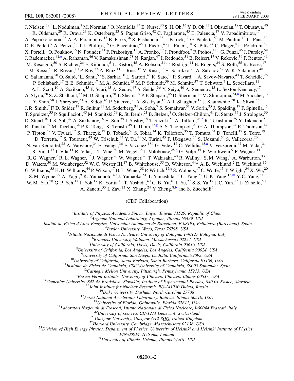<span id="page-1-6"></span><span id="page-1-4"></span><span id="page-1-2"></span>J. Nielsen,<sup>28[,f](#page-5-7)</sup> L. Nodulman,<sup>2</sup> M. Norman,<sup>9</sup> O. Norniella,<sup>24</sup> E. Nurse,<sup>30</sup> S. H. Oh,<sup>16</sup> Y. D. Oh,<sup>27</sup> I. Oksuzian,<sup>18</sup> T. Okusawa,<sup>40</sup> R. Oldeman,<sup>29</sup> R. Orava,<sup>23</sup> K. Osterberg,<sup>23</sup> S. Pagan Griso,<sup>42</sup> C. Pagliarone,<sup>45</sup> E. Palencia,<sup>17</sup> V. Papadimitriou,<sup>17</sup> A. Papaikonomou,<sup>26</sup> A. A. Paramonov,<sup>13</sup> B. Parks,<sup>38</sup> S. Pashapour,<sup>33</sup> J. Patrick,<sup>17</sup> G. Pauletta,<sup>53</sup> M. Paulini,<sup>12</sup> C. Paus,<sup>32</sup> D. E. Pellett,<sup>7</sup> A. Penzo,<sup>53</sup> T. J. Phillips,<sup>16</sup> G. Piacentino,<sup>45</sup> J. Piedra,<sup>43</sup> L. Pinera,<sup>18</sup> K. Pitts,<sup>24</sup> C. Plager,<sup>8</sup> L. Pondrom,<sup>58</sup> X. Portell,<sup>3</sup> O. Poukhov,<sup>15</sup> N. Pounder,<sup>41</sup> F. Prakoshyn,<sup>15</sup> A. Pronko,<sup>17</sup> J. Proudfoot,<sup>2</sup> F. Ptohos,<sup>17[,h](#page-5-8)</sup> G. Punzi,<sup>45</sup> J. Pursley,<sup>58</sup> J. Rademacker,<sup>41[,c](#page-5-3)</sup> A. Rahaman,<sup>46</sup> V. Ramakrishnan,<sup>58</sup> N. Ranjan,<sup>47</sup> I. Redondo,<sup>31</sup> B. Reisert,<sup>17</sup> V. Rekovic,<sup>36</sup> P. Renton,<sup>41</sup> M. Rescigno,<sup>50</sup> S. Richter,<sup>26</sup> F. Rimondi,<sup>5</sup> L. Ristori,<sup>45</sup> A. Robson,<sup>21</sup> T. Rodrigo,<sup>11</sup> E. Rogers,<sup>24</sup> S. Rolli,<sup>55</sup> R. Roser,<sup>17</sup> M. Rossi,<sup>53</sup> R. Rossin,<sup>10</sup> P. Roy,<sup>33</sup> A. Ruiz,<sup>11</sup> J. Russ,<sup>12</sup> V. Rusu,<sup>17</sup> H. Saarikko,<sup>23</sup> A. Safonov,<sup>52</sup> W. K. Sakumoto,<sup>48</sup> G. Salamanna,<sup>50</sup> O. Saltó,<sup>3</sup> L. Santi,<sup>53</sup> S. Sarkar,<sup>50</sup> L. Sartori,<sup>45</sup> K. Sato,<sup>17</sup> P. Savard,<sup>33</sup> A. Savoy-Navarro,<sup>43</sup> T. Scheidle,<sup>26</sup> P. Schlabach,<sup>17</sup> E. E. Schmidt,<sup>17</sup> M. A. Schmidt,<sup>13</sup> M. P. Schmidt,<sup>59</sup> M. Schmitt,<sup>37</sup> T. Schwarz,<sup>7</sup> L. Scodellaro,<sup>11</sup> A. L. Scott,<sup>10</sup> A. Scribano,<sup>45</sup> F. Scuri,<sup>45</sup> A. Sedov,<sup>47</sup> S. Seidel,<sup>36</sup> Y. Seiya,<sup>40</sup> A. Semenov,<sup>15</sup> L. Sexton-Kennedy,<sup>17</sup> A. Sfyrla,<sup>20</sup> S. Z. Shalhout,<sup>57</sup> M. D. Shapiro,<sup>28</sup> T. Shears,<sup>29</sup> P. F. Shepard,<sup>46</sup> D. Sherman,<sup>22</sup> M. Shimojima,<sup>54[,n](#page-5-9)</sup> M. Shochet,<sup>13</sup> Y. Shon,<sup>58</sup> I. Shreyber,<sup>20</sup> A. Sidoti,<sup>45</sup> P. Sinervo,<sup>33</sup> A. Sisakyan,<sup>15</sup> A. J. Slaughter,<sup>17</sup> J. Slaunwhite,<sup>38</sup> K. Sliwa,<sup>55</sup> J. R. Smith,<sup>7</sup> F. D. Snider,<sup>17</sup> R. Snihur,<sup>33</sup> M. Soderberg,<sup>34</sup> A. Soha,<sup>7</sup> S. Somalwar,<sup>51</sup> V. Sorin,<sup>35</sup> J. Spalding,<sup>17</sup> F. Spinella,<sup>45</sup> T. Spreitzer,<sup>33</sup> P. Squillacioti,<sup>45</sup> M. Stanitzki,<sup>59</sup> R. St. Denis,<sup>21</sup> B. Stelzer,<sup>8</sup> O. Stelzer-Chilton,<sup>41</sup> D. Stentz,<sup>37</sup> J. Strologas,<sup>36</sup> D. Stuart,<sup>10</sup> J. S. Suh,<sup>27</sup> A. Sukhanov,<sup>18</sup> H. Sun,<sup>55</sup> I. Suslov,<sup>15</sup> T. Suzuki,<sup>54</sup> A. Taffard,<sup>24,[e](#page-5-10)</sup> R. Takashima,<sup>39</sup> Y. Takeuchi,<sup>54</sup> R. Tanaka,<sup>39</sup> M. Tecchio,<sup>34</sup> P. K. Ten[g](#page-5-11),<sup>1</sup> K. Terashi,<sup>49</sup> J. Thom,<sup>17,g</sup> A. S. Thompson,<sup>21</sup> G. A. Thompson,<sup>24</sup> E. Thomson,<sup>44</sup> P. Tipton,<sup>59</sup> V. Tiwari,<sup>12</sup> S. Tkaczyk,<sup>17</sup> D. Toback,<sup>52</sup> S. Tokar,<sup>14</sup> K. Tollefson,<sup>35</sup> T. Tomura,<sup>54</sup> D. Tonelli,<sup>17</sup> S. Torre,<sup>19</sup> D. Torretta,<sup>17</sup> S. Tourneur,<sup>43</sup> W. Trischuk,<sup>33</sup> Y. Tu,<sup>44</sup> N. Turini,<sup>45</sup> F. Ukegawa,<sup>54</sup> S. Uozumi,<sup>54</sup> S. Vallecorsa,<sup>20</sup> N. van Remorte[l](#page-5-0),<sup>23</sup> A. V[a](#page-5-2)rganov,<sup>34</sup> E. Vataga,<sup>36</sup> F. Vázquez,<sup>18,1</sup> G. Velev,<sup>17</sup> C. Vellidis,<sup>45,a</sup> V. Veszpremi,<sup>47</sup> M. Vidal,<sup>31</sup> R. Vidal,<sup>17</sup> I. Vila,<sup>11</sup> R. Vilar,<sup>11</sup> T. Vine,<sup>30</sup> M. Vogel,<sup>36</sup> I. Volobouev,<sup>28,[q](#page-6-3)</sup> G. Volpi,<sup>45</sup> F. Würthwein,<sup>9</sup> P. Wagner,<sup>44</sup> R. G. Wagner,<sup>2</sup> R. L. Wagner,<sup>17</sup> J. Wagner,<sup>26</sup> W. Wagner,<sup>26</sup> T. Wakisaka,<sup>40</sup> R. Wallny,<sup>8</sup> S. M. Wang,<sup>1</sup> A. Warburton,<sup>33</sup> D. Waters,<sup>30</sup> M. Weinberger,<sup>52</sup> W. C. Wester III,<sup>17</sup> B. Whitehouse,<sup>55</sup> D. Whiteson,<sup>44[,e](#page-5-10)</sup> A. B. Wicklund,<sup>2</sup> E. Wicklund,<sup>17</sup> G. Williams,  $33$  H. H. Williams,  $44$  P. Wilson,  $17$  B. L. Winer,  $38$  P. Wittich,  $17.9$  S. Wolbers,  $17$  C. Wolfe,  $13$  T. Wri[g](#page-5-11)ht,  $34$  X. Wu,  $20$ S. M. Wynne,<sup>29</sup> A. Yagil,<sup>9</sup> K. Ya[m](#page-5-12)amoto,<sup>40</sup> J. Yamaoka,<sup>51</sup> T. Yamashita,<sup>39</sup> C. Yang,<sup>59</sup> U.K. Yang,<sup>13,m</sup> Y.C. Yang,<sup>27</sup> W. M. Yao,<sup>28</sup> G. P. Yeh,<sup>17</sup> J. Yoh,<sup>17</sup> K. Yorita,<sup>13</sup> T. Yoshida,<sup>40</sup> G. B. Yu,<sup>48</sup> I. Yu,<sup>27</sup> S. S. Yu,<sup>17</sup> J. C. Yun,<sup>17</sup> L. Zanello,<sup>50</sup>

A. Zanetti,<sup>53</sup> I. Zaw,<sup>22</sup> X. Zhang,<sup>24</sup> Y. Zheng,<sup>8,[b](#page-5-13)</sup> and S. Zucchelli<sup>5</sup>

## (CDF Collaboration)

<sup>1</sup>*Institute of Physics, Academia Sinica, Taipei, Taiwan 11529, Republic of China*<br><sup>2</sup><sup>2</sup>Arganne National Laboratory, Arganne, Illinois 60430, USA

<span id="page-1-5"></span><span id="page-1-3"></span><span id="page-1-1"></span><span id="page-1-0"></span><sup>2</sup> *Argonne National Laboratory, Argonne, Illinois 60439, USA*<br><sup>3</sup> *Argonne National Laboratory, Argonne, Illinois 60439, USA*<sup>3</sup>

*Institut de Fisica d'Altes Energies, Universitat Autonoma de Barcelona, E-08193, Bellaterra (Barcelona), Spain* <sup>4</sup>

*Baylor University, Waco, Texas 76798, USA* <sup>5</sup>

*Istituto Nazionale di Fisica Nucleare, University of Bologna, I-40127 Bologna, Italy* <sup>6</sup>

*Brandeis University, Waltham, Massachusetts 02254, USA* <sup>7</sup>

*University of California, Davis, Davis, California 95616, USA* <sup>8</sup>

*University of California, Los Angeles, Los Angeles, California 90024, USA* <sup>9</sup>

<sup>9</sup>University of California, San Diego, La Jolla, California 92093, USA<br><sup>10</sup>University of California, Santa Barbara, Santa Barbara, California 93106, USA<br><sup>11</sup>Instituto de Fisica de Cantabria, CSIC-University of Cantabria,

*FIN-00014, Helsinki, Finland* <sup>24</sup>*University of Illinois, Urbana, Illinois 61801, USA*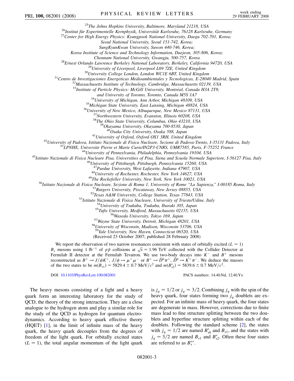<sup>25</sup>The Johns Hopkins University, Baltimore, Maryland 21218, USA<br><sup>26</sup>Institut für Experimentelle Kernphysik, Universität Karlsruhe, 76128 Karlsruhe, Germany<br><sup>27</sup>Center for High Energy Physics: Kyungpook National Universit

*Seoul National University, Seoul 151-742, Korea;*

*SungKyunKwan University, Suwon 440-746, Korea;*

*Korea Institute of Science and Technology Information, Daejeon, 305-806, Korea;*

Chonnam National University, Gwangju, 500-757, Korea<br><sup>28</sup>Ernest Orlando Lawrence Berkeley National Laboratory, Berkeley, California 94720, USA<br><sup>29</sup>University of Liverpool, Liverpool L69 7ZE, United Kingdom<br><sup>30</sup>University

<sup>33</sup>Institute of Particle Physics: McGill University, Montréal, Canada H3A 2T8;

and University of Toronto, Toronto, Canada M5S 1A7<br><sup>34</sup>University of Michigan, Ann Arbor, Michigan 48109, USA<br><sup>35</sup>Michigan State University, East Lansing, Michigan 48824, USA<br><sup>36</sup>University of New Mexico, Albuquerque, New

<sup>41</sup>University of Oxford, Oxford OX1 3RH, United Kingdom<br><sup>42</sup>University of Padova, Istituto Nazionale di Fisica Nucleare, Sezione di Padova-Trento, I-35131 Padova, Italy<br><sup>43</sup>LPNHE, Universite Pierre et Marie Curie/IN2P3-C

<sup>47</sup>Purdue University, West Lafayette, Indiana 47907, USA<br><sup>48</sup>University of Rochester, Rochester, New York 14627, USA<br><sup>48</sup>University of Rochester, Rochester, New York 14627, USA<br><sup>50</sup>Istituto Nazionale di Fisica Nucleare,

<sup>59</sup>*Yale University, New Haven, Connecticut 06520, USA*

(Received 23 October 2007; published 28 February 2008)

We report the observation of two narrow resonances consistent with states of orbitally excited  $(L = 1)$ we report the observation of two harrow resonances consistent with states of orbitally excited ( $L = 1$ )  $B_s$  mesons using 1 fb<sup>-1</sup> of  $p\bar{p}$  collisions at  $\sqrt{s} = 1.96$  TeV collected with the Collider Detector at Fermilab II detector at the Fermilab Tevatron. We use two-body decays into  $K^-$  and  $B^+$  mesons reconstructed as  $B^+ \to J/\psi K^+$ ,  $J/\psi \to \mu^+ \mu^-$  or  $B^+ \to \bar{D}^0 \pi^+$ ,  $\bar{D}^0 \to K^+ \pi^-$ . We deduce the masses of the two states to be  $m(B_{s1}) = 5829.4 \pm 0.7 \text{ MeV}/c^2$  and  $m(B_{s2}^*) = 5839.6 \pm 0.7 \text{ MeV}/c^2$ .

DOI: [10.1103/PhysRevLett.100.082001](http://dx.doi.org/10.1103/PhysRevLett.100.082001) PACS numbers: 14.40.Nd, 12.40.Yx

The heavy mesons consisting of a light and a heavy quark form an interesting laboratory for the study of QCD, the theory of the strong interaction. They are a close analogue to the hydrogen atom and play a similar role for the study of the QCD as hydrogen for quantum electrodynamics. According to heavy quark effective theory (HQET) [\[1](#page-6-4)], in the limit of infinite mass of the heavy quark, the heavy quark decouples from the degrees of freedom of the light quark. For orbitally excited states  $(L = 1)$ , the total angular momentum of the light quark

is  $j_q = 1/2$  or  $j_q = 3/2$ . Combining  $j_q$  with the spin of the heavy quark, four states forming two *jq* doublets are expected. For an infinite mass of heavy quark, the four states are degenerate in mass. However, corrections due to finite mass lead to fine structure splitting between the two doublets and hyperfine structure splitting within each of the doublets. Following the standard scheme [\[2](#page-6-5)], the states with  $j_q = 1/2$  are named  $B_{s0}^*$  and  $B_{s1}$ , and the states with  $j_q = 3/2$  are named  $B_{s1}$  and  $B_{s2}^*$ . Often these four states are referred to as  $B_s^{**}$ .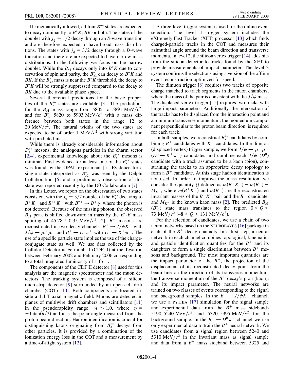If kinematically allowed, all four  $B_s^{**}$  states are expected to decay dominantly to  $B^*K$ ,  $BK$  or both. The states of the doublet with  $j_q = 1/2$  decay through an *S*-wave transition and are therefore expected to have broad mass distributions. The states with  $j_q = 3/2$  decay through a *D*-wave transition and therefore are expected to have narrow mass distributions. In the following we focus on the narrow doublet. While the  $B_{s1}$  decays only into  $B^*K$  due to conservation of spin and parity, the  $B_{s2}^*$  can decay to  $B^*K$  and *BK*. If the  $B_{s2}^*$  mass is near the  $B^*K$  threshold, the decay to  $B^*K$  will be strongly suppressed compared to the decay to *BK* due to the available phase space.

Several theoretical predictions for the basic properties of the  $B_s^{**}$  states are available [\[3](#page-6-6)]. The predictions for the  $B_{s1}$  mass range from 5805 to 5891 MeV/ $c^2$ , and for  $B_{s2}^*$  5820 to 5903 MeV/ $c^2$  with a mass difference between both states in the range 12 to 20 MeV $/c^2$ . The natural widths of the two states are expected to be of order 1 MeV $/c^2$  with strong variation with predicted mass.

While there is already considerable information about  $D_s^{**}$  mesons, the analogous particles in the charm sector [\[2,](#page-6-5)[4](#page-6-7)], experimental knowledge about the  $B_s^{**}$  mesons is minimal. First evidence for at least one of the  $B_s^{**}$  states was found by the OPAL experiment [\[5\]](#page-6-8). Evidence for a single state interpreted as  $B_{s2}^*$  was seen by the Delphi Collaboration [[6](#page-6-9)] and a preliminary observation of this state was reported recently by the D0 Collaboration [[7\]](#page-6-10).

In this Letter, we report on the observation of two states consistent with the  $j_q = 3/2$  doublet of the  $B_s^{**}$  decaying to  $B^+ K^-$  and  $B^{*+} K^-$  with  $B^{*+} \to B^+ \gamma$ , where the photon is not detected. Because of the missing photon, the observed  $B_{s1}$  peak is shifted downward in mass by the  $B^*$ -*B* mass splitting of  $45.78 \pm 0.35 \text{ MeV}/c^2$  [[2\]](#page-6-5). *B*<sup>+</sup> mesons are reconstructed in two decay channels,  $B^+ \rightarrow J/\psi K^+$  with  $J/\psi \rightarrow \mu^+ \mu^-$  and  $B^+ \rightarrow \overline{D}{}^0 \pi^+$  with  $\overline{D}{}^0 \rightarrow K^+ \pi^-$ . The use of a specific particle state implies the use of the chargeconjugate state as well. We use data collected by the Collider Detector at Fermilab II (CDF II) at the Tevatron between February 2002 and February 2006 corresponding to a total integrated luminosity of 1 fb<sup>-1</sup>.

The components of the CDF II detector [[8](#page-6-11)] used for this analysis are the magnetic spectrometer and the muon detectors. The tracking system is composed of a silicon microstrip detector [\[9\]](#page-6-12) surrounded by an open-cell drift chamber (COT) [\[10\]](#page-6-13). Both components are located inside a 1.4 T axial magnetic field. Muons are detected in planes of multiwire drift chambers and scintillators [\[11\]](#page-6-14) in the pseudorapidity range  $|\eta| \le 1.0$ , where  $\eta =$  $-$  lntan( $\theta$ /2) and  $\theta$  is the polar angle measured from the proton beam direction. Hadron identification is crucial for distinguishing kaons originating from  $B_s^{**}$  decays from other particles. It is provided by a combination of the ionization energy loss in the COT and a measurement by a time-of-flight system [[12](#page-6-15)].

A three-level trigger system is used for the online event selection. The level 1 trigger system includes the eXtremely Fast Tracker (XFT) processor [\[13\]](#page-6-16) which finds charged-particle tracks in the COT and measures their azimuthal angle around the beam direction and transverse momenta. In level 2, the silicon vertex trigger [[14](#page-6-17)] adds hits from the silicon detector to tracks found by the XFT to provide measurements of impact parameter. The level 3 system confirms the selections using a version of the offline event reconstruction optimized for speed.

The dimuon trigger [[8\]](#page-6-11) requires two tracks of opposite charge matched to track segments in the muon chambers, where the mass of the pair is consistent with the  $J/\psi$  mass. The displaced-vertex trigger [[15](#page-6-18)] requires two tracks with large impact parameters. Additionally, the intersection of the tracks has to be displaced from the interaction point and a minimum transverse momentum, the momentum component perpendicular to the proton beam direction, is required for each track.

In both samples, we reconstruct  $B_s^{**}$  candidates by combining  $B^+$  candidates with  $K^-$  candidates. In the dimuon (displaced-vertex) trigger sample, we form  $J/\psi \rightarrow \mu^+ \mu^ (\bar{D}^0 \rightarrow K^+ \pi^-)$  candidates and combine each  $J/\psi$   $(\bar{D}^0)$ candidate with a track assumed to be a kaon (pion), constraining the tracks to an appropriate decay topology to form a  $B^+$  candidate. At this stage hadron identification is not used. In order to improve the mass resolution, we consider the quantity *Q* defined as  $m(B^+K^-) - m(B^+) M_{K^-}$ , where  $m(B^+K^-)$  and  $m(B^+)$  are the reconstructed invariant masses of the  $B^+K^-$  pair and the  $B^+$  candidate, and  $M_{K^-}$  is the known kaon mass [\[2](#page-6-5)]. The predicted  $B_{s1}$  $(B_{s2}^*)$  state mass translates to the region  $0 < Q <$ 73 MeV/ $c^2$  (48 < Q < 131 MeV/ $c^2$ ).

For the selection of candidates, we use a chain of two neural networks based on the NEUROBAYES [[16](#page-6-19)] package in each of the  $B<sup>+</sup>$  decay channels. In a first step, a neural network in each channel combines topological, kinematic, and particle identification quantities for the  $B<sup>+</sup>$  and its daughters to form a single discriminant between  $B^+$  mesons and background. The most important quantities are the impact parameter of the  $B^+$ , the projection of the displacement of its reconstructed decay point from the beam line on the direction of its transverse momentum, the transverse momentum of the  $B^+$  decay's pion (kaon), and its impact parameter. The neural networks are trained on two classes of events corresponding to the signal and background samples. In the  $B^+ \rightarrow J/\psi K^+$  channel, we use a PYTHIA [[17](#page-6-20)] simulation for the signal sample and experimental data from the  $B<sup>+</sup>$  mass sidebands 5190–5240 MeV/ $c^2$  and 5320–5395 MeV/ $c^2$  for the background sample. In the  $B^+ \to \bar{D}^0 \pi^+$  channel we use only experimental data to train the  $B<sup>+</sup>$  neural network. We use candidates from a signal region between 5240 and 5310 MeV $/c^2$  in the invariant mass as signal sample and data from a  $B^+$  mass sideband between 5325 and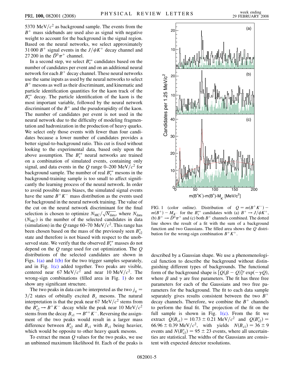5370 MeV $/c^2$  as background sample. The events from the  $B<sup>+</sup>$  mass sidebands are used also as signal with negative weight to account for the background in the signal region. Based on the neural networks, we select approximately 31 000  $B^+$  signal events in the  $J/\psi K^+$  decay channel and 27 200 in the  $\bar{D}^0 \pi^+$  channel.

In a second step, we select  $B_s^{**}$  candidates based on the number of candidates per event and on an additional neural network for each  $B^+$  decay channel. These neural networks use the same inputs as used by the neural networks to select  $B<sup>+</sup>$  mesons as well as their discriminant, and kinematic and particle identification quantities for the kaon track of the  $B_s^{**}$  decay. The particle identification of the kaon is the most important variable, followed by the neural network discriminant of the  $B^+$  and the pseudorapidity of the kaon. The number of candidates per event is not used in the neural network due to the difficulty of modeling fragmentation and hadronization in the production of heavy quarks. We select only those events with fewer than four candidates because a lower number of candidates provides a better signal-to-background ratio. This cut is fixed without looking to the experimental data, based only upon the above assumption. The  $B_s^{**}$  neural networks are trained on a combination of simulated events, containing only signal, and data events in the *Q* range 0–200 MeV/ $c<sup>2</sup>$  for background sample. The number of real  $B_s^{**}$  mesons in the background-training sample is too small to affect significantly the learning process of the neural network. In order to avoid possible mass biases, the simulated signal events have the same  $B^+K^-$  mass distribution as the events used for background in the neural network training. The value of the cut on the neural network discriminant for the final selection is chosen to optimize  $N_{MC}/\sqrt{N_{data}}$ , where  $N_{data}$  $(N<sub>MC</sub>)$  is the number of the selected candidates in data (simulation) in the Q range 60–70 MeV/ $c^2$ . This range has been chosen based on the mass of the previously seen  $B_{s2}^*$ state and therefore is not biased with respect to the unobserved state. We verify that the observed  $B_s^{**}$  masses do not depend on the *Q* range used for cut optimization. The *Q* distributions of the selected candidates are shown in Figs.  $1(a)$  and  $1(b)$  for the two trigger samples separately, and in Fig. [1\(c\)](#page-4-0) added together. Two peaks are visible, centered near 67 MeV/ $c^2$  and near 10 MeV/ $c^2$ . The wrong-sign combinations (filled area in Fig. [1](#page-4-1)) do not show any significant structure.

The two peaks in data can be interpreted as the two  $j_a$  =  $3/2$  states of orbitally excited  $B_s$  mesons. The natural interpretation is that the peak near 67 MeV $/c^2$  stems from the  $B_{s2}^* \rightarrow B^+ K^-$  decay while the peak near 10 MeV/ $c^2$ stems from the decay  $B_{s1} \rightarrow B^{*+} K^-$ . Reversing the assignment of the two peaks would result in a larger mass difference between  $B_{s2}^*$  and  $B_{s1}$  with  $B_{s1}$  being heavier, which would be opposite to other heavy quark mesons.

To extract the mean *Q* values for the two peaks, we use an unbinned maximum likelihood fit. Each of the peaks is

<span id="page-4-1"></span>

<span id="page-4-0"></span>FIG. 1 (color online). Distribution of  $Q = m(B^+K^-)$  –  $m(B^+) - M_{K^-}$  for the  $B_s^{**}$  candidates with (a)  $B^+ \rightarrow J/\psi K^+$ , (b)  $B^+ \rightarrow \overline{D}^0 \pi^+$  and (c) both  $B^+$  channels combined. The dotted line shows the result of a fit with the sum of a background function and two Gaussians. The filled area shows the *Q* distribution for the wrong-sign combination  $B^+K^+$ .

described by a Gaussian shape. We use a phenomenological function to describe the background without distinguishing different types of backgrounds. The functional form of the background shape is  $[Q(\beta - Q)]^{\gamma}$  exp $(-\gamma Q)$ , where  $\beta$  and  $\gamma$  are free parameters. The fit has three free parameters for each of the Gaussians and two free parameters for the background. The fit to each data sample separately gives results consistent between the two  $B^+$ decay channels. Therefore, we combine the  $B^+$  channels to perform the final fit. The projection of the fit on the full sample is shown in Fig.  $1(c)$ . From the fit we extract  $Q(B_{s1}) = 10.73 \pm 0.21 \text{ MeV}/c^2$  and  $Q(B_{s2}^*) =$ 66.96  $\pm$  0.39 MeV/c<sup>2</sup>, with yields  $N(B_{s1}) = 36 \pm 9$ events and  $N(B_{s2}^*) = 95 \pm 23$  events, where all uncertainties are statistical. The widths of the Gaussians are consistent with expected detector resolutions.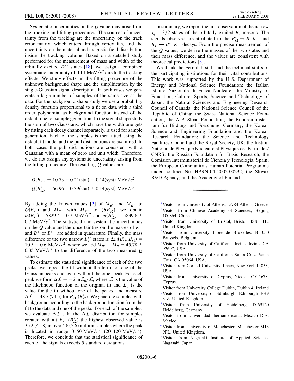Systematic uncertainties on the *Q* value may arise from the tracking and fitting procedures. The sources of uncertainty from the tracking are the uncertainty on the track error matrix, which enters through vertex fits, and the uncertainty on the material and magnetic field distribution inside the tracking volume. Based on a detailed study performed for the measurement of mass and width of the orbitally excited  $D^{**}$  states [\[18\]](#page-6-21), we assign a combined systematic uncertainty of 0.14 MeV $/c<sup>2</sup>$  due to the tracking effects. We study effects on the fitting procedure of the unknown background shape and the simplification by the single-Gaussian signal description. In both cases we generate a large number of samples of the same size as the data. For the background shape study we use a probability density function proportional to a fit on data with a third order polynomial as background function instead of the default one for sample generation. In the signal shape study the sum of two Gaussians, which have the width one gets by fitting each decay channel separately, is used for sample generation. Each of the samples is then fitted using the default fit model and the pull distributions are examined. In both cases the pull distributions are consistent with a Gaussian with a mean of zero and unit width. Therefore, we do not assign any systematic uncertainty arising from the fitting procedure. The resulting *Q* values are

$$
Q(B_{s1}) = 10.73 \pm 0.21 \text{(stat)} \pm 0.14 \text{(syst)} \text{ MeV}/c^2,
$$
  
 $Q(B_{s2}^*) = 66.96 \pm 0.39 \text{(stat)} \pm 0.14 \text{(syst)} \text{ MeV}/c^2.$ 

By adding the known values [[2](#page-6-5)] of  $M_{B^*}$  and  $M_{K^-}$  to  $Q(B_{s1})$  and  $M_{B^+}$  with  $M_{K^-}$  to  $Q(B_{s2}^*)$ , we obtain  $m(B_{s1}) = 5829.4 \pm 0.7 \text{ MeV}/c^2 \text{ and } m(B_{s2}^*) = 5839.6 \pm 0.7 \text{ MeV}/c^2$  $0.7 \text{ MeV}/c^2$ . The statistical and systematic uncertainties on the *Q* value and the uncertainties on the masses of *K* and  $B^+$  or  $B^{*+}$  are added in quadrature. Finally, the mass difference of the two narrow  $\vec{B}_s^{**}$  states is  $\Delta m(\vec{B}_{s2}^*, \vec{B}_{s1}) =$  $10.5 \pm 0.6 \text{ MeV}/c^2$ , where we add  $M_{B^*} - M_B = 45.78 \pm 10.5 \pm 0.6 \text{ MeV}/c^2$ 0.35 MeV/ $c^2$  to the difference of the two measured Q values.

To estimate the statistical significance of each of the two peaks, we repeat the fit without the term for one of the Gaussian peaks and again without the other peak. For each peak we form  $\Delta \mathcal{L} = -2 \ln \mathcal{L}_0 / \mathcal{L}$ , where  $\mathcal L$  is the value of the likelihood function of the original fit and  $\mathcal{L}_0$  is the value for the fit without one of the peaks, and measure  $\Delta \mathcal{L} = 48.7$  (74.5) for  $B_{s1}$  ( $B_{s2}^*$ ). We generate samples with background according to the background function from the fit to the data and one of the peaks. For each of the samples, we evaluate  $\Delta \mathcal{L}$ . In the  $\Delta \mathcal{L}$  distribution for samples created without  $B_{s1}$  ( $B_{s2}^*$ ) the highest observed value is 35.2 (41.8) in over 4.6 (5.6) million samples where the peak is located in range  $0-50 \text{ MeV}/c^2$  (20–120 MeV/ $c^2$ ). Therefore, we conclude that the statistical significance of each of the signals exceeds 5 standard deviations.

In summary, we report the first observation of the narrow  $j_q = 3/2$  states of the orbitally excited  $B_s$  mesons. The signals observed are attributed to the  $B_{s2}^* \rightarrow B^+ K^-$  and  $B_{s1} \rightarrow B^{*+} K^-$  decays. From the precise measurement of the *Q* values, we derive the masses of the two states and their mass difference, and the values are consistent with theoretical predictions [[3\]](#page-6-6).

We thank the Fermilab staff and the technical staffs of the participating institutions for their vital contributions. This work was supported by the U. S. Department of Energy and National Science Foundation; the Italian Istituto Nazionale di Fisica Nucleare; the Ministry of Education, Culture, Sports, Science and Technology of Japan; the Natural Sciences and Engineering Research Council of Canada; the National Science Council of the Republic of China; the Swiss National Science Foundation; the A. P. Sloan Foundation; the Bundesministerium für Bildung und Forschung, Germany; the Korean Science and Engineering Foundation and the Korean Research Foundation; the Science and Technology Facilities Council and the Royal Society, UK; the Institut National de Physique Nucleaire et Physique des Particules/ CNRS; the Russian Foundation for Basic Research; the Comisión Interministerial de Ciencia y Tecnología, Spain; the European Community's Human Potential Programme under contract No. HPRN-CT-2002-00292; the Slovak R&D Agency; and the Academy of Finland.

- <span id="page-5-13"></span><span id="page-5-2"></span><sup>[a](#page-0-0)</sup>Visitor from University of Athens, 15784 Athens, Greece. **[b](#page-1-0)**Visitor from Chinese Academy of Sciences, Beijing 100864, China.
- <span id="page-5-3"></span><span id="page-5-1"></span>[c](#page-0-1) Visitor from University of Bristol, Bristol BS8 1TL, United Kingdom.
- <span id="page-5-10"></span>[d](#page-0-2)Visitor from University Libre de Bruxelles, B-1050 Brussels, Belgium.
- <span id="page-5-7"></span>[e](#page-1-1) Visitor from University of California Irvine, Irvine, CA 92697, USA.
- <span id="page-5-11"></span>[f](#page-1-2) Visitor from University of California Santa Cruz, Santa Cruz, CA 95064, USA.
- <span id="page-5-8"></span>[g](#page-1-3) Visitor from Cornell University, Ithaca, New York 14853, USA.
- <span id="page-5-5"></span>[h](#page-1-4)Visitor from University of Cyprus, Nicosia CY-1678, Cyprus.
- <span id="page-5-4"></span>[i](#page-0-3) Visitor from University College Dublin, Dublin 4, Ireland [j](#page-0-0) Visitor from University of Edinburgh, Edinburgh EH9 3JZ, United Kingdom.
- <span id="page-5-6"></span><span id="page-5-0"></span><sup>[k](#page-0-3)</sup>Visitor from University of Heidelberg, D-69120 Heidelberg, Germany.
- <span id="page-5-12"></span>[l](#page-0-4) Visitor from Universidad Iberoamericana, Mexico D.F., Mexico.
- <span id="page-5-9"></span>[mV](#page-1-5)isitor from University of Manchester, Manchester M13 9PL, United Kingdom.
- <sup>[n](#page-1-6)</sup>Visitor from Nagasaki Institute of Applied Science, Nagasaki, Japan.